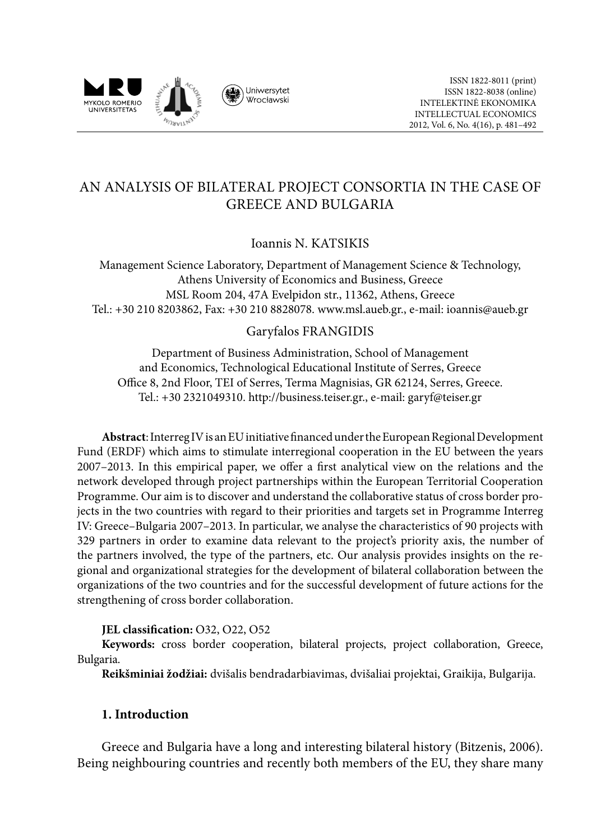

# AN ANALYSIS OF BILATERAL PROJECT CONSORTIA IN THE CASE OF GREECE AND BULGARIA

# Ioannis N. KATSIKIS

Management Science Laboratory, Department of Management Science & Technology, Athens University of Economics and Business, Greece MSL Room 204, 47A Evelpidon str., 11362, Athens, Greece Tel.: +30 210 8203862, Fax: +30 210 8828078. www.msl.aueb.gr., e-mail: ioannis@aueb.gr

### Garyfalos FRANGIDIS

Department of Business Administration, School of Management and Economics, Technological Educational Institute of Serres, Greece Office 8, 2nd Floor, ΤΕΙ of Serres, Terma Magnisias, GR 62124, Serres, Greece. Tel.: +30 2321049310. http://business.teiser.gr., e-mail: garyf@teiser.gr

**Abstract**: Interreg IV is an EU initiative financed under the European Regional Development Fund (ERDF) which aims to stimulate interregional cooperation in the EU between the years 2007–2013. In this empirical paper, we offer a first analytical view on the relations and the network developed through project partnerships within the European Territorial Cooperation Programme. Our aim is to discover and understand the collaborative status of cross border projects in the two countries with regard to their priorities and targets set in Programme Interreg IV: Greece–Bulgaria 2007–2013. In particular, we analyse the characteristics of 90 projects with 329 partners in order to examine data relevant to the project's priority axis, the number of the partners involved, the type of the partners, etc. Our analysis provides insights on the regional and organizational strategies for the development of bilateral collaboration between the organizations of the two countries and for the successful development of future actions for the strengthening of cross border collaboration.

### **JEL classification:** O32, O22, O52

**Keywords:** cross border cooperation, bilateral projects, project collaboration, Greece, Bulgaria.

**Reikšminiai žodžiai:** dvišalis bendradarbiavimas, dvišaliai projektai, Graikija, Bulgarija.

## **1. Introduction**

Greece and Bulgaria have a long and interesting bilateral history (Bitzenis, 2006). Being neighbouring countries and recently both members of the EU, they share many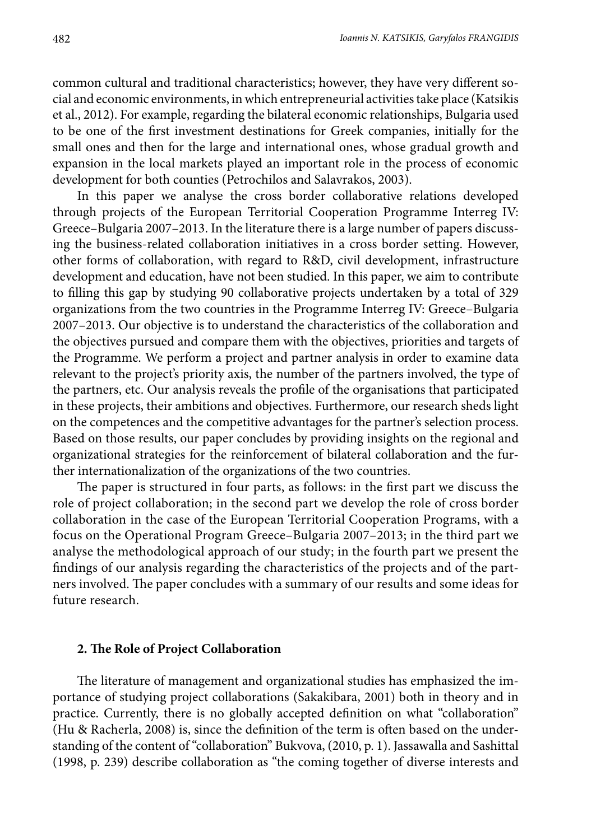common cultural and traditional characteristics; however, they have very different social and economic environments, in which entrepreneurial activities take place (Katsikis et al., 2012). For example, regarding the bilateral economic relationships, Bulgaria used to be one of the first investment destinations for Greek companies, initially for the small ones and then for the large and international ones, whose gradual growth and expansion in the local markets played an important role in the process of economic development for both counties (Petrochilos and Salavrakos, 2003).

In this paper we analyse the cross border collaborative relations developed through projects of the European Territorial Cooperation Programme Interreg IV: Greece–Bulgaria 2007–2013. In the literature there is a large number of papers discussing the business-related collaboration initiatives in a cross border setting. However, other forms of collaboration, with regard to R&D, civil development, infrastructure development and education, have not been studied. In this paper, we aim to contribute to filling this gap by studying 90 collaborative projects undertaken by a total of 329 organizations from the two countries in the Programme Interreg IV: Greece–Bulgaria 2007–2013. Our objective is to understand the characteristics of the collaboration and the objectives pursued and compare them with the objectives, priorities and targets of the Programme. We perform a project and partner analysis in order to examine data relevant to the project's priority axis, the number of the partners involved, the type of the partners, etc. Our analysis reveals the profile of the organisations that participated in these projects, their ambitions and objectives. Furthermore, our research sheds light on the competences and the competitive advantages for the partner's selection process. Based on those results, our paper concludes by providing insights on the regional and organizational strategies for the reinforcement of bilateral collaboration and the further internationalization of the organizations of the two countries.

The paper is structured in four parts, as follows: in the first part we discuss the role of project collaboration; in the second part we develop the role of cross border collaboration in the case of the European Territorial Cooperation Programs, with a focus on the Operational Program Greece–Bulgaria 2007–2013; in the third part we analyse the methodological approach of our study; in the fourth part we present the findings of our analysis regarding the characteristics of the projects and of the partners involved. The paper concludes with a summary of our results and some ideas for future research.

#### **2. The Role of Project Collaboration**

The literature of management and organizational studies has emphasized the importance of studying project collaborations (Sakakibara, 2001) both in theory and in practice. Currently, there is no globally accepted definition on what "collaboration" (Hu & Racherla, 2008) is, since the definition of the term is often based on the understanding of the content of "collaboration" Bukvova, (2010, p. 1). Jassawalla and Sashittal (1998, p. 239) describe collaboration as "the coming together of diverse interests and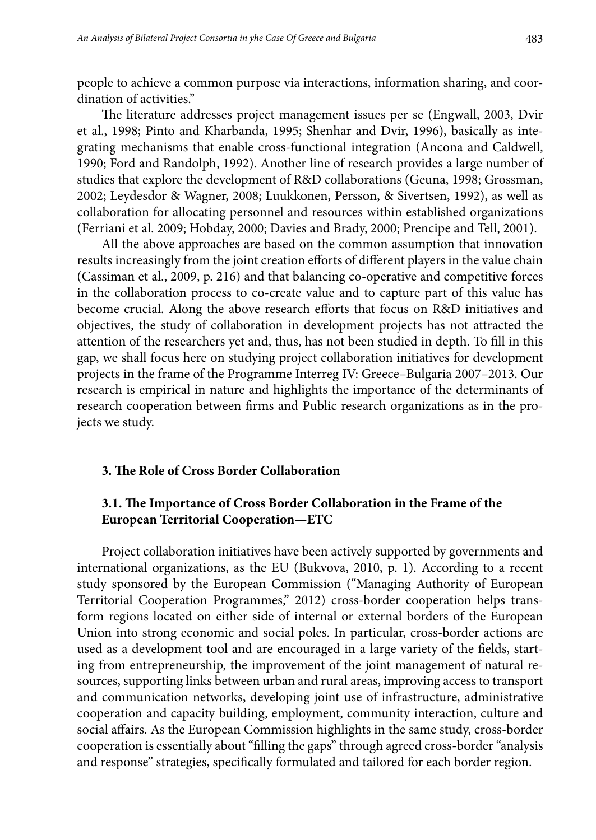people to achieve a common purpose via interactions, information sharing, and coordination of activities."

The literature addresses project management issues per se (Engwall, 2003, Dvir et al., 1998; Pinto and Kharbanda, 1995; Shenhar and Dvir, 1996), basically as integrating mechanisms that enable cross-functional integration (Ancona and Caldwell, 1990; Ford and Randolph, 1992). Another line of research provides a large number of studies that explore the development of R&D collaborations (Geuna, 1998; Grossman, 2002; Leydesdor & Wagner, 2008; Luukkonen, Persson, & Sivertsen, 1992), as well as collaboration for allocating personnel and resources within established organizations (Ferriani et al. 2009; Hobday, 2000; Davies and Brady, 2000; Prencipe and Tell, 2001).

All the above approaches are based on the common assumption that innovation results increasingly from the joint creation efforts of different players in the value chain (Cassiman et al., 2009, p. 216) and that balancing co-operative and competitive forces in the collaboration process to co-create value and to capture part of this value has become crucial. Along the above research efforts that focus on R&D initiatives and objectives, the study of collaboration in development projects has not attracted the attention of the researchers yet and, thus, has not been studied in depth. To fill in this gap, we shall focus here on studying project collaboration initiatives for development projects in the frame of the Programme Interreg IV: Greece–Bulgaria 2007–2013. Our research is empirical in nature and highlights the importance of the determinants of research cooperation between firms and Public research organizations as in the projects we study.

#### **3. The Role of Cross Border Collaboration**

### **3.1. The Importance of Cross Border Collaboration in the Frame of the European Territorial Cooperation—ETC**

Project collaboration initiatives have been actively supported by governments and international organizations, as the EU (Bukvova, 2010, p. 1). According to a recent study sponsored by the European Commission ("Managing Authority of European Territorial Cooperation Programmes," 2012) cross-border cooperation helps transform regions located on either side of internal or external borders of the European Union into strong economic and social poles. In particular, cross-border actions are used as a development tool and are encouraged in a large variety of the fields, starting from entrepreneurship, the improvement of the joint management of natural resources, supporting links between urban and rural areas, improving access to transport and communication networks, developing joint use of infrastructure, administrative cooperation and capacity building, employment, community interaction, culture and social affairs. As the European Commission highlights in the same study, cross-border cooperation is essentially about "filling the gaps" through agreed cross-border "analysis and response" strategies, specifically formulated and tailored for each border region.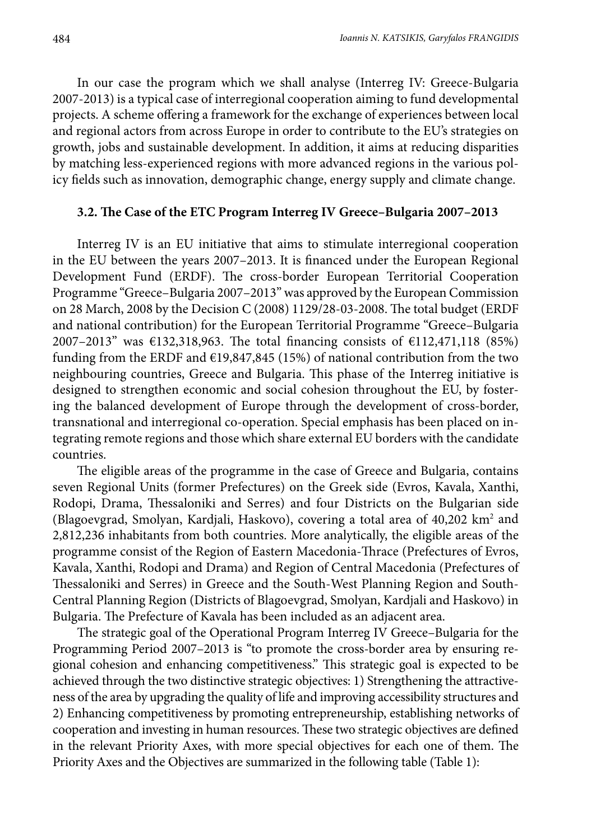In our case the program which we shall analyse (Interreg IV: Greece-Bulgaria 2007-2013) is a typical case of interregional cooperation aiming to fund developmental projects. A scheme offering a framework for the exchange of experiences between local and regional actors from across Europe in order to contribute to the EU's strategies on growth, jobs and sustainable development. In addition, it aims at reducing disparities by matching less-experienced regions with more advanced regions in the various policy fields such as innovation, demographic change, energy supply and climate change.

#### **3.2. The Case of the ETC Program Interreg IV Greece–Bulgaria 2007–2013**

Interreg IV is an EU initiative that aims to stimulate interregional cooperation in the EU between the years 2007–2013. It is financed under the European Regional Development Fund (ERDF). The cross-border European Territorial Cooperation Programme "Greece–Bulgaria 2007–2013" was approved by the European Commission on 28 March, 2008 by the Decision C (2008) 1129/28-03-2008. The total budget (ERDF and national contribution) for the European Territorial Programme "Greece–Bulgaria 2007–2013" was €132,318,963. The total financing consists of €112,471,118 (85%) funding from the ERDF and  $E19,847,845$  (15%) of national contribution from the two neighbouring countries, Greece and Bulgaria. This phase of the Interreg initiative is designed to strengthen economic and social cohesion throughout the EU, by fostering the balanced development of Europe through the development of cross-border, transnational and interregional co-operation. Special emphasis has been placed on integrating remote regions and those which share external EU borders with the candidate countries.

The eligible areas of the programme in the case of Greece and Bulgaria, contains seven Regional Units (former Prefectures) on the Greek side (Evros, Kavala, Xanthi, Rodopi, Drama, Thessaloniki and Serres) and four Districts on the Bulgarian side (Blagoevgrad, Smolyan, Kardjali, Haskovo), covering a total area of 40,202 km<sup>2</sup> and 2,812,236 inhabitants from both countries. More analytically, the eligible areas of the programme consist of the Region of Eastern Macedonia-Thrace (Prefectures of Evros, Kavala, Xanthi, Rodopi and Drama) and Region of Central Macedonia (Prefectures of Thessaloniki and Serres) in Greece and the South-West Planning Region and South-Central Planning Region (Districts of Blagoevgrad, Smolyan, Kardjali and Haskovo) in Bulgaria. The Prefecture of Kavala has been included as an adjacent area.

Τhe strategic goal of the Operational Program Interreg IV Greece–Bulgaria for the Programming Period 2007–2013 is "to promote the cross-border area by ensuring regional cohesion and enhancing competitiveness." This strategic goal is expected to be achieved through the two distinctive strategic objectives: 1) Strengthening the attractiveness of the area by upgrading the quality of life and improving accessibility structures and 2) Enhancing competitiveness by promoting entrepreneurship, establishing networks of cooperation and investing in human resources. These two strategic objectives are defined in the relevant Priority Axes, with more special objectives for each one of them. The Priority Axes and the Objectives are summarized in the following table (Table 1):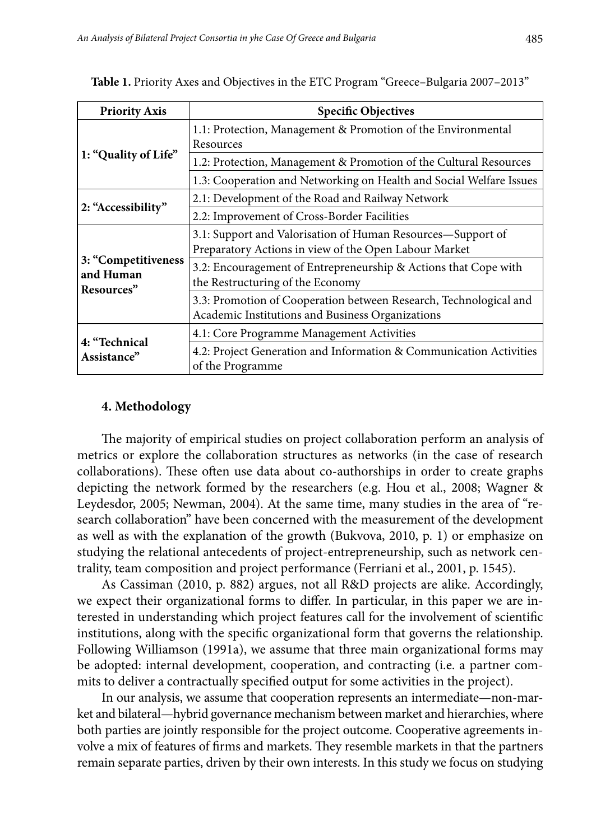| <b>Priority Axis</b>                           | <b>Specific Objectives</b>                                                                                            |
|------------------------------------------------|-----------------------------------------------------------------------------------------------------------------------|
| 1: "Quality of Life"                           | 1.1: Protection, Management & Promotion of the Environmental<br>Resources                                             |
|                                                | 1.2: Protection, Management & Promotion of the Cultural Resources                                                     |
|                                                | 1.3: Cooperation and Networking on Health and Social Welfare Issues                                                   |
|                                                | 2.1: Development of the Road and Railway Network                                                                      |
| 2: "Accessibility"                             | 2.2: Improvement of Cross-Border Facilities                                                                           |
| 3: "Competitiveness<br>and Human<br>Resources" | 3.1: Support and Valorisation of Human Resources—Support of<br>Preparatory Actions in view of the Open Labour Market  |
|                                                | 3.2: Encouragement of Entrepreneurship & Actions that Cope with<br>the Restructuring of the Economy                   |
|                                                | 3.3: Promotion of Cooperation between Research, Technological and<br>Academic Institutions and Business Organizations |
| 4: "Technical<br>Assistance"                   | 4.1: Core Programme Management Activities                                                                             |
|                                                | 4.2: Project Generation and Information & Communication Activities<br>of the Programme                                |

**Table 1.** Priority Axes and Objectives in the ETC Program "Greece–Bulgaria 2007–2013"

### **4. Methodology**

The majority of empirical studies on project collaboration perform an analysis of metrics or explore the collaboration structures as networks (in the case of research collaborations). These often use data about co-authorships in order to create graphs depicting the network formed by the researchers (e.g. Hou et al., 2008; Wagner & Leydesdor, 2005; Newman, 2004). At the same time, many studies in the area of "research collaboration" have been concerned with the measurement of the development as well as with the explanation of the growth (Bukvova, 2010, p. 1) or emphasize on studying the relational antecedents of project-entrepreneurship, such as network centrality, team composition and project performance (Ferriani et al., 2001, p. 1545).

As Cassiman (2010, p. 882) argues, not all R&D projects are alike. Accordingly, we expect their organizational forms to differ. In particular, in this paper we are interested in understanding which project features call for the involvement of scientific institutions, along with the specific organizational form that governs the relationship. Following Williamson (1991a), we assume that three main organizational forms may be adopted: internal development, cooperation, and contracting (i.e. a partner commits to deliver a contractually specified output for some activities in the project).

In our analysis, we assume that cooperation represents an intermediate—non-market and bilateral—hybrid governance mechanism between market and hierarchies, where both parties are jointly responsible for the project outcome. Cooperative agreements involve a mix of features of firms and markets. They resemble markets in that the partners remain separate parties, driven by their own interests. In this study we focus on studying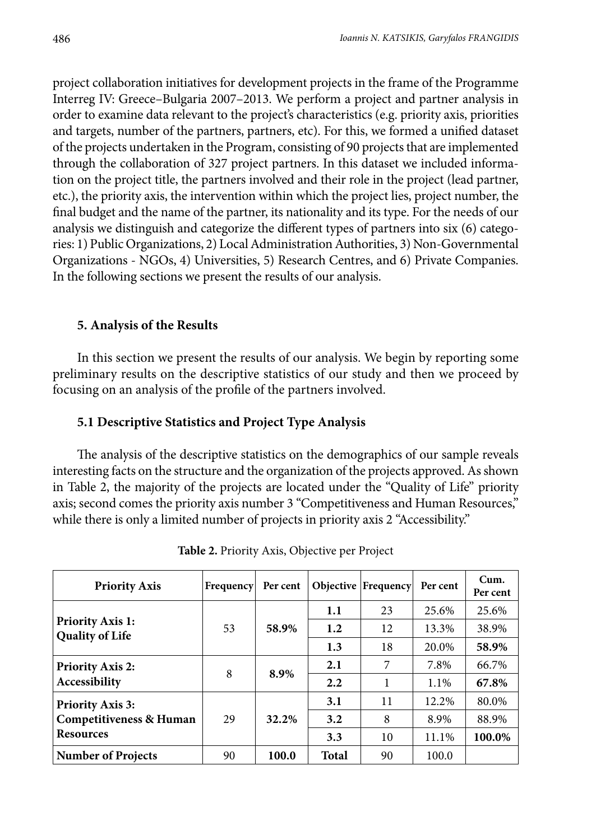project collaboration initiatives for development projects in the frame of the Programme Interreg IV: Greece–Bulgaria 2007–2013. We perform a project and partner analysis in order to examine data relevant to the project's characteristics (e.g. priority axis, priorities and targets, number of the partners, partners, etc). For this, we formed a unified dataset of the projects undertaken in the Program, consisting of 90 projects that are implemented through the collaboration of 327 project partners. In this dataset we included information on the project title, the partners involved and their role in the project (lead partner, etc.), the priority axis, the intervention within which the project lies, project number, the final budget and the name of the partner, its nationality and its type. For the needs of our analysis we distinguish and categorize the different types of partners into six (6) categories: 1) Public Organizations, 2) Local Administration Authorities, 3) Non-Governmental Organizations - NGOs, 4) Universities, 5) Research Centres, and 6) Private Companies. In the following sections we present the results of our analysis.

### **5. Analysis of the Results**

In this section we present the results of our analysis. We begin by reporting some preliminary results on the descriptive statistics of our study and then we proceed by focusing on an analysis of the profile of the partners involved.

## **5.1 Descriptive Statistics and Project Type Analysis**

The analysis of the descriptive statistics on the demographics of our sample reveals interesting facts on the structure and the organization of the projects approved. As shown in Table 2, the majority of the projects are located under the "Quality of Life" priority axis; second comes the priority axis number 3 "Competitiveness and Human Resources," while there is only a limited number of projects in priority axis 2 "Accessibility."

| <b>Priority Axis</b>                              | Frequency | Per cent |              | Objective   Frequency | Per cent | Cum.<br>Per cent |
|---------------------------------------------------|-----------|----------|--------------|-----------------------|----------|------------------|
|                                                   |           | 58.9%    | 1.1          | 23                    | 25.6%    | 25.6%            |
| <b>Priority Axis 1:</b><br><b>Quality of Life</b> | 53        |          | 1.2          | 12                    | 13.3%    | 38.9%            |
|                                                   |           |          | 1.3          | 18                    | 20.0%    | 58.9%            |
| <b>Priority Axis 2:</b>                           | 8         | 8.9%     | 2.1          | 7                     | 7.8%     | 66.7%            |
| Accessibility                                     |           |          | 2.2          | 1                     | 1.1%     | 67.8%            |
| <b>Priority Axis 3:</b>                           |           | 32.2%    | 3.1          | 11                    | 12.2%    | 80.0%            |
| Competitiveness & Human                           | 29        |          | 3.2          | 8                     | 8.9%     | 88.9%            |
| <b>Resources</b>                                  |           |          | 3.3          | 10                    | 11.1%    | 100.0%           |
| <b>Number of Projects</b>                         | 90        | 100.0    | <b>Total</b> | 90                    | 100.0    |                  |

**Table 2.** Priority Axis, Objective per Project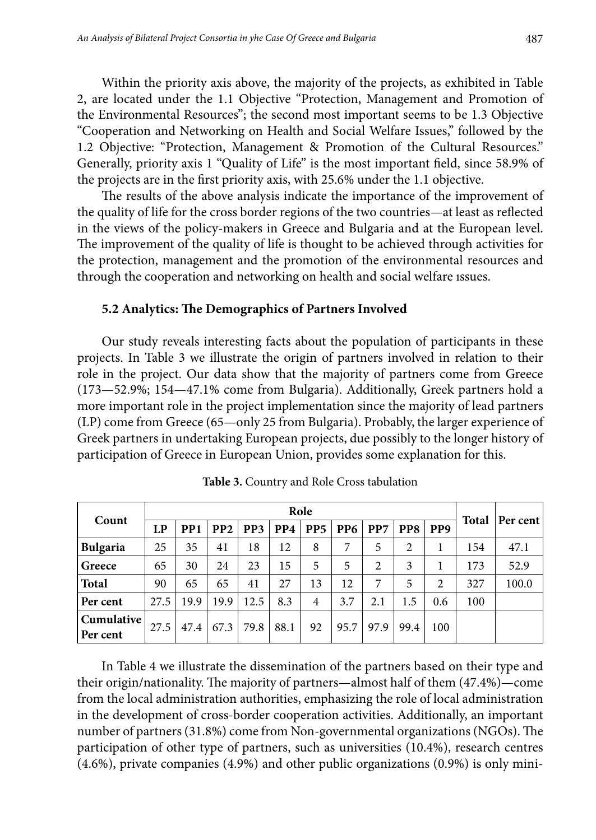Within the priority axis above, the majority of the projects, as exhibited in Table 2, are located under the 1.1 Objective "Protection, Management and Promotion of the Environmental Resources"; the second most important seems to be 1.3 Objective "Cooperation and Networking on Health and Social Welfare Issues," followed by the 1.2 Objective: "Protection, Management & Promotion of the Cultural Resources." Generally, priority axis 1 "Quality of Life" is the most important field, since 58.9% of the projects are in the first priority axis, with 25.6% under the 1.1 objective.

The results of the above analysis indicate the importance of the improvement of the quality of life for the cross border regions of the two countries—at least as reflected in the views of the policy-makers in Greece and Bulgaria and at the European level. The improvement of the quality of life is thought to be achieved through activities for the protection, management and the promotion of the environmental resources and through the cooperation and networking on health and social welfare ıssues.

#### **5.2 Analytics: The Demographics of Partners Involved**

Our study reveals interesting facts about the population of participants in these projects. In Table 3 we illustrate the origin of partners involved in relation to their role in the project. Our data show that the majority of partners come from Greece (173—52.9%; 154—47.1% come from Bulgaria). Additionally, Greek partners hold a more important role in the project implementation since the majority of lead partners (LP) come from Greece (65—only 25 from Bulgaria). Probably, the larger experience of Greek partners in undertaking European projects, due possibly to the longer history of participation of Greece in European Union, provides some explanation for this.

|                        | Role |                 |                 |                 |      |                 |                 |                | <b>Total</b> |                 |     |          |
|------------------------|------|-----------------|-----------------|-----------------|------|-----------------|-----------------|----------------|--------------|-----------------|-----|----------|
| Count                  | LP   | PP <sub>1</sub> | PP <sub>2</sub> | PP <sub>3</sub> | PP4  | PP <sub>5</sub> | PP <sub>6</sub> | PP7            | PP8          | PP <sub>9</sub> |     | Per cent |
| <b>Bulgaria</b>        | 25   | 35              | 41              | 18              | 12   | 8               | 7               | 5              | 2            | 1               | 154 | 47.1     |
| Greece                 | 65   | 30              | 24              | 23              | 15   | 5               | 5               | $\overline{2}$ | 3            | 1               | 173 | 52.9     |
| <b>Total</b>           | 90   | 65              | 65              | 41              | 27   | 13              | 12              | 7              | 5            | $\overline{2}$  | 327 | 100.0    |
| Per cent               | 27.5 | 19.9            | 19.9            | 12.5            | 8.3  | $\overline{4}$  | 3.7             | 2.1            | 1.5          | 0.6             | 100 |          |
| Cumulative<br>Per cent | 27.5 | 47.4            | 67.3            | 79.8            | 88.1 | 92              | 95.7            | 97.9           | 99.4         | 100             |     |          |

**Table 3.** Country and Role Cross tabulation

In Table 4 we illustrate the dissemination of the partners based on their type and their origin/nationality. The majority of partners—almost half of them (47.4%)—come from the local administration authorities, emphasizing the role of local administration in the development of cross-border cooperation activities. Additionally, an important number of partners (31.8%) come from Non-governmental organizations (NGOs). The participation of other type of partners, such as universities (10.4%), research centres (4.6%), private companies (4.9%) and other public organizations (0.9%) is only mini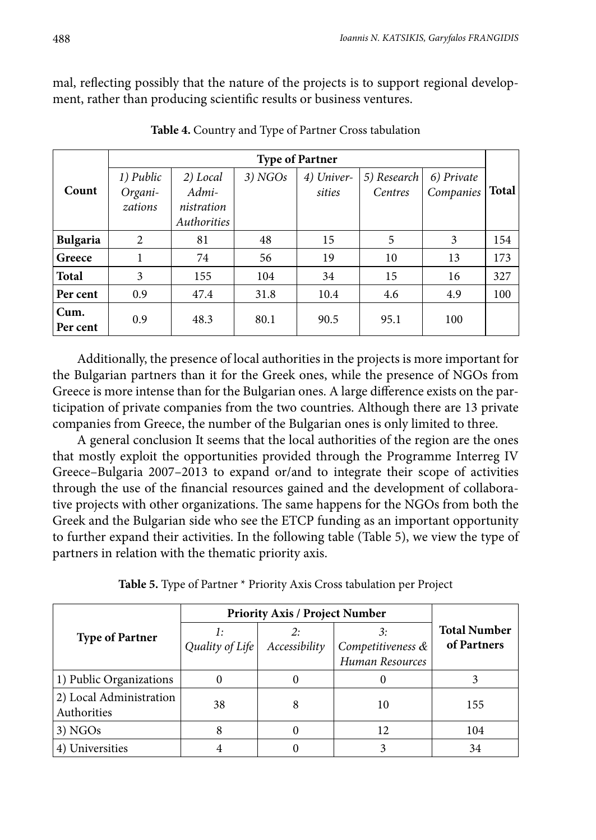mal, reflecting possibly that the nature of the projects is to support regional development, rather than producing scientific results or business ventures.

|                  |           |             |         | <b>Type of Partner</b> |             |            |              |
|------------------|-----------|-------------|---------|------------------------|-------------|------------|--------------|
|                  | 1) Public | 2) Local    | 3) NGOs | 4) Univer-             | 5) Research | 6) Private |              |
| Count            | Organi-   | Admi-       |         | sities                 | Centres     | Companies  | <b>Total</b> |
|                  | zations   | nistration  |         |                        |             |            |              |
|                  |           | Authorities |         |                        |             |            |              |
| <b>Bulgaria</b>  | 2         | 81          | 48      | 15                     | 5           | 3          | 154          |
| Greece           |           | 74          | 56      | 19                     | 10          | 13         | 173          |
| <b>Total</b>     | 3         | 155         | 104     | 34                     | 15          | 16         | 327          |
| Per cent         | 0.9       | 47.4        | 31.8    | 10.4                   | 4.6         | 4.9        | 100          |
| Cum.<br>Per cent | 0.9       | 48.3        | 80.1    | 90.5                   | 95.1        | 100        |              |

**Table 4.** Country and Type of Partner Cross tabulation

Additionally, the presence of local authorities in the projects is more important for the Bulgarian partners than it for the Greek ones, while the presence of NGOs from Greece is more intense than for the Bulgarian ones. A large difference exists on the participation of private companies from the two countries. Although there are 13 private companies from Greece, the number of the Bulgarian ones is only limited to three.

A general conclusion It seems that the local authorities of the region are the ones that mostly exploit the opportunities provided through the Programme Interreg IV Greece–Bulgaria 2007–2013 to expand or/and to integrate their scope of activities through the use of the financial resources gained and the development of collaborative projects with other organizations. The same happens for the NGOs from both the Greek and the Bulgarian side who see the ETCP funding as an important opportunity to further expand their activities. In the following table (Table 5), we view the type of partners in relation with the thematic priority axis.

| Table 5. Type of Partner * Priority Axis Cross tabulation per Project |  |  |  |
|-----------------------------------------------------------------------|--|--|--|
|-----------------------------------------------------------------------|--|--|--|

|                                        | <b>Priority Axis / Project Number</b> |               |                   |                                    |  |
|----------------------------------------|---------------------------------------|---------------|-------------------|------------------------------------|--|
| <b>Type of Partner</b>                 |                                       |               | 3:                | <b>Total Number</b><br>of Partners |  |
|                                        | Quality of Life                       | Accessibility | Competitiveness & |                                    |  |
|                                        |                                       |               | Human Resources   |                                    |  |
| 1) Public Organizations                |                                       |               |                   |                                    |  |
| 2) Local Administration<br>Authorities | 38                                    | 8             | 10                | 155                                |  |
| $3)$ NGOs                              |                                       |               | 12                | 104                                |  |
| Universities                           |                                       |               |                   | 34                                 |  |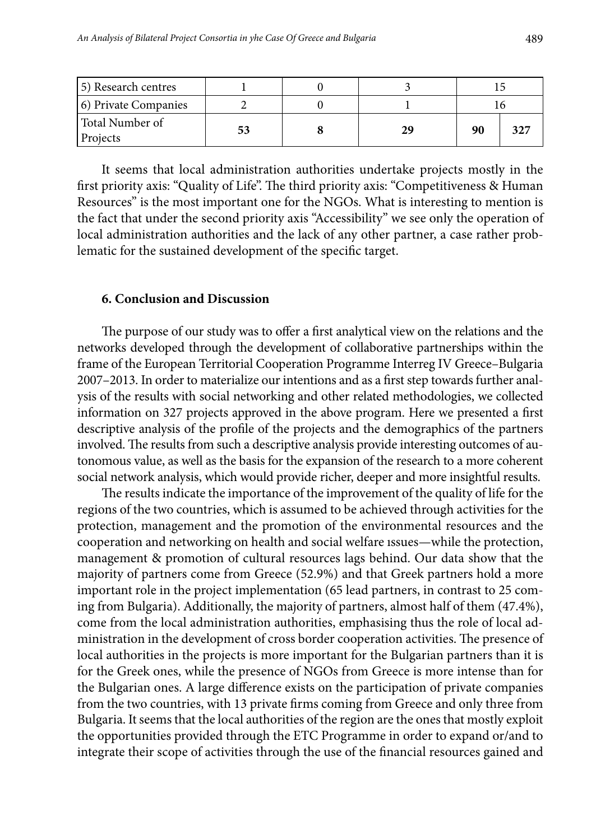| 5) Research centres         |    |    |    |  |
|-----------------------------|----|----|----|--|
| (6) Private Companies       |    |    |    |  |
| Total Number of<br>Projects | 53 | 29 | 90 |  |

It seems that local administration authorities undertake projects mostly in the first priority axis: "Quality of Life". The third priority axis: "Competitiveness & Human Resources" is the most important one for the NGOs. What is interesting to mention is the fact that under the second priority axis "Accessibility" we see only the operation of local administration authorities and the lack of any other partner, a case rather problematic for the sustained development of the specific target.

#### **6. Conclusion and Discussion**

The purpose of our study was to offer a first analytical view on the relations and the networks developed through the development of collaborative partnerships within the frame of the European Territorial Cooperation Programme Interreg IV Greece–Bulgaria 2007–2013. In order to materialize our intentions and as a first step towards further analysis of the results with social networking and other related methodologies, we collected information on 327 projects approved in the above program. Here we presented a first descriptive analysis of the profile of the projects and the demographics of the partners involved. The results from such a descriptive analysis provide interesting outcomes of autonomous value, as well as the basis for the expansion of the research to a more coherent social network analysis, which would provide richer, deeper and more insightful results.

The results indicate the importance of the improvement of the quality of life for the regions of the two countries, which is assumed to be achieved through activities for the protection, management and the promotion of the environmental resources and the cooperation and networking on health and social welfare ıssues—while the protection, management & promotion of cultural resources lags behind. Our data show that the majority of partners come from Greece (52.9%) and that Greek partners hold a more important role in the project implementation (65 lead partners, in contrast to 25 coming from Bulgaria). Additionally, the majority of partners, almost half of them (47.4%), come from the local administration authorities, emphasising thus the role of local administration in the development of cross border cooperation activities. The presence of local authorities in the projects is more important for the Bulgarian partners than it is for the Greek ones, while the presence of NGOs from Greece is more intense than for the Bulgarian ones. A large difference exists on the participation of private companies from the two countries, with 13 private firms coming from Greece and only three from Bulgaria. It seems that the local authorities of the region are the ones that mostly exploit the opportunities provided through the ETC Programme in order to expand or/and to integrate their scope of activities through the use of the financial resources gained and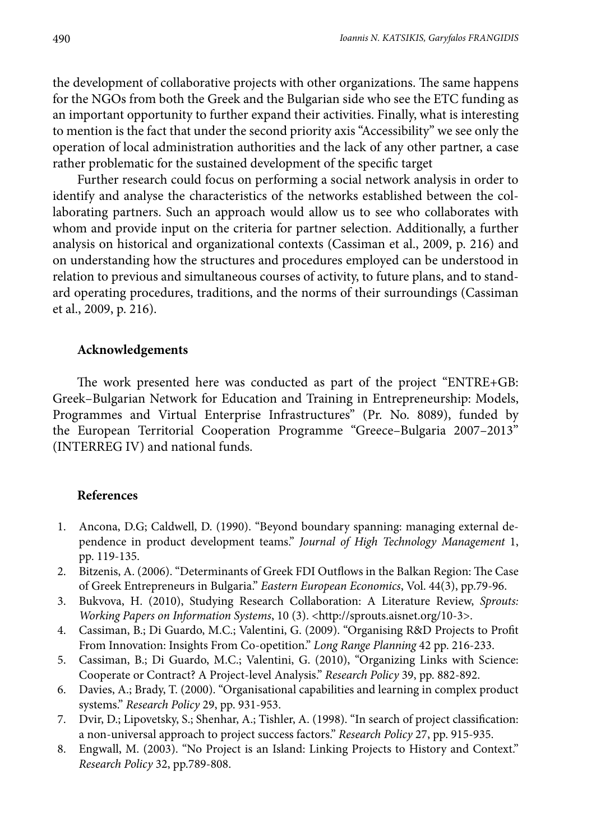the development of collaborative projects with other organizations. The same happens for the NGOs from both the Greek and the Bulgarian side who see the ETC funding as an important opportunity to further expand their activities. Finally, what is interesting to mention is the fact that under the second priority axis "Accessibility" we see only the operation of local administration authorities and the lack of any other partner, a case rather problematic for the sustained development of the specific target

Further research could focus on performing a social network analysis in order to identify and analyse the characteristics of the networks established between the collaborating partners. Such an approach would allow us to see who collaborates with whom and provide input on the criteria for partner selection. Additionally, a further analysis on historical and organizational contexts (Cassiman et al., 2009, p. 216) and on understanding how the structures and procedures employed can be understood in relation to previous and simultaneous courses of activity, to future plans, and to standard operating procedures, traditions, and the norms of their surroundings (Cassiman et al., 2009, p. 216).

#### **Acknowledgements**

The work presented here was conducted as part of the project "ENTRE+GB: Greek–Bulgarian Network for Education and Training in Entrepreneurship: Models, Programmes and Virtual Enterprise Infrastructures" (Pr. No. 8089), funded by the European Territorial Cooperation Programme "Greece–Bulgaria 2007–2013" (INTERREG IV) and national funds.

#### **References**

- 1. Ancona, D.G; Caldwell, D. (1990). "Beyond boundary spanning: managing external dependence in product development teams." *Journal of High Technology Management* 1, pp. 119-135.
- 2. Bitzenis, A. (2006). "Determinants of Greek FDI Outflows in the Balkan Region: The Case of Greek Entrepreneurs in Bulgaria." *Eastern European Economics*, Vol. 44(3), pp.79-96.
- 3. Bukvova, H. (2010), Studying Research Collaboration: A Literature Review, *Sprouts: Working Papers on Information Systems*, 10 (3). <http://sprouts.aisnet.org/10-3>.
- 4. Cassiman, B.; Di Guardo, M.C.; Valentini, G. (2009). "Organising R&D Projects to Profit From Innovation: Insights From Co-opetition." *Long Range Planning* 42 pp. 216-233.
- 5. Cassiman, B.; Di Guardo, M.C.; Valentini, G. (2010), "Organizing Links with Science: Cooperate or Contract? A Project-level Analysis." *Research Policy* 39, pp. 882-892.
- 6. Davies, A.; Brady, T. (2000). "Organisational capabilities and learning in complex product systems." *Research Policy* 29, pp. 931-953.
- 7. Dvir, D.; Lipovetsky, S.; Shenhar, A.; Tishler, A. (1998). "In search of project classification: a non-universal approach to project success factors." *Research Policy* 27, pp. 915-935.
- 8. Engwall, M. (2003). "No Project is an Island: Linking Projects to History and Context." *Research Policy* 32, pp.789-808.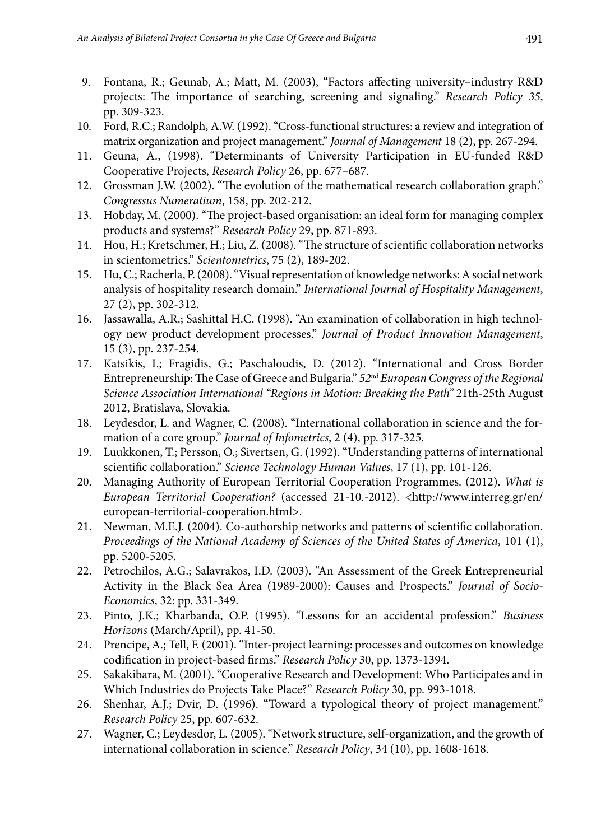- 9. Fontana, R.; Geunab, A.; Matt, M. (2003), "Factors affecting university–industry R&D projects: The importance of searching, screening and signaling." *Research Policy 35*, pp. 309-323.
- 10. Ford, R.C.; Randolph, A.W. (1992). "Cross-functional structures: a review and integration of matrix organization and project management." *Journal of Management* 18 (2), pp. 267-294.
- 11. Geuna, A., (1998). "Determinants of University Participation in EU-funded R&D Cooperative Projects, *Research Policy* 26, pp. 677–687.
- 12. Grossman J.W. (2002). "The evolution of the mathematical research collaboration graph." *Congressus Numeratium*, 158, pp. 202-212.
- 13. Hobday, M. (2000). "The project-based organisation: an ideal form for managing complex products and systems?" *Research Policy* 29, pp. 871-893.
- 14. Hou, H.; Kretschmer, H.; Liu, Z. (2008). "The structure of scientific collaboration networks in scientometrics." *Scientometrics*, 75 (2), 189-202.
- 15. Hu, C.; Racherla, P. (2008). "Visual representation of knowledge networks: A social network analysis of hospitality research domain." *International Journal of Hospitality Management*, 27 (2), pp. 302-312.
- 16. Jassawalla, A.R.; Sashittal H.C. (1998). "An examination of collaboration in high technology new product development processes." *Journal of Product Innovation Management*, 15 (3), pp. 237-254.
- 17. Katsikis, I.; Fragidis, G.; Paschaloudis, D. (2012). "International and Cross Border Entrepreneurship: The Case of Greece and Bulgaria." *52nd European Congress of the Regional Science Association International "Regions in Motion: Breaking the Path"* 21th-25th August 2012, Bratislava, Slovakia.
- 18. Leydesdor, L. and Wagner, C. (2008). "International collaboration in science and the formation of a core group." *Journal of Infometrics*, 2 (4), pp. 317-325.
- 19. Luukkonen, T.; Persson, O.; Sivertsen, G. (1992). "Understanding patterns of international scientific collaboration." *Science Technology Human Values*, 17 (1), pp. 101-126.
- 20. Managing Authority of European Territorial Cooperation Programmes. (2012). *What is European Territorial Cooperation?* (accessed 21-10.-2012). <http://www.interreg.gr/en/ european-territorial-cooperation.html>.
- 21. Newman, M.E.J. (2004). Co-authorship networks and patterns of scientific collaboration. *Proceedings of the National Academy of Sciences of the United States of America*, 101 (1), pp. 5200-5205.
- 22. Petrochilos, A.G.; Salavrakos, I.D. (2003). "An Assessment of the Greek Entrepreneurial Activity in the Black Sea Area (1989-2000): Causes and Prospects." *Journal of Socio-Economics*, 32: pp. 331-349.
- 23. Pinto, J.K.; Kharbanda, O.P. (1995). "Lessons for an accidental profession." *Business Horizons* (March/April), pp. 41-50.
- 24. Prencipe, A.; Tell, F. (2001). "Inter-project learning: processes and outcomes on knowledge codification in project-based firms." *Research Policy* 30, pp. 1373-1394.
- 25. Sakakibara, M. (2001). "Cooperative Research and Development: Who Participates and in Which Industries do Projects Take Place?" *Research Policy* 30, pp. 993-1018.
- 26. Shenhar, A.J.; Dvir, D. (1996). "Toward a typological theory of project management." *Research Policy* 25, pp. 607-632.
- 27. Wagner, C.; Leydesdor, L. (2005). "Network structure, self-organization, and the growth of international collaboration in science." *Research Policy*, 34 (10), pp. 1608-1618.